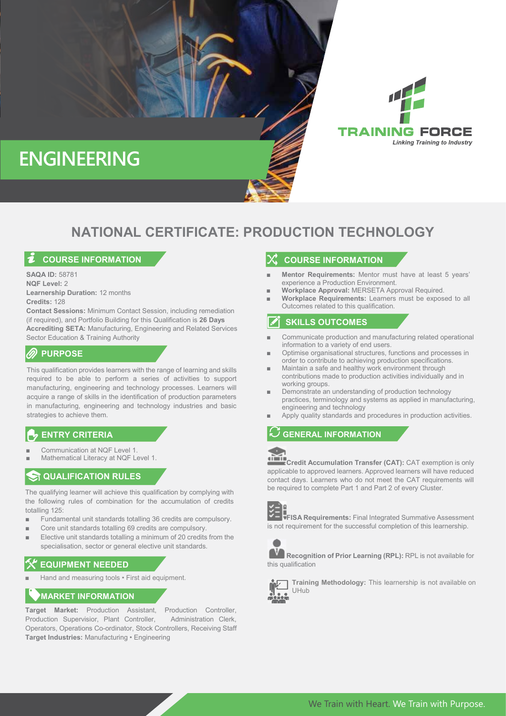



# **NATIONAL CERTIFICATE: PRODUCTION TECHNOLOGY**

# **COURSE INFORMATION**

**SAQA ID:** 58781 **NQF Level:** 2 **Learnership Duration:** 12 months **Credits:** 128

**Contact Sessions:** Minimum Contact Session, including remediation (if required), and Portfolio Building for this Qualification is **26 Days Accrediting SETA:** Manufacturing, Engineering and Related Services Sector Education & Training Authority

# **PURPOSE**

This qualification provides learners with the range of learning and skills required to be able to perform a series of activities to support manufacturing, engineering and technology processes. Learners will acquire a range of skills in the identification of production parameters in manufacturing, engineering and technology industries and basic strategies to achieve them.

# **ENTRY CRITERIA**

- Communication at NQF Level 1.
- Mathematical Literacy at NQF Level 1.

# **QUALIFICATION RULES**

The qualifying learner will achieve this qualification by complying with the following rules of combination for the accumulation of credits totalling 125:

- Fundamental unit standards totalling 36 credits are compulsory.
- Core unit standards totalling 69 credits are compulsory.
- Elective unit standards totalling a minimum of 20 credits from the specialisation, sector or general elective unit standards.

#### ■ **EQUIPMENT NEEDED**

Hand and measuring tools • First aid equipment.

### **MARKET INFORMATION**

**Target Market:** Production Assistant, Production Controller, Production Supervisior, Plant Controller, Administration Clerk, Operators, Operations Co-ordinator, Stock Controllers, Receiving Staff **Target Industries:** Manufacturing • Engineering

# **COURSE INFORMATION**

- **Mentor Requirements:** Mentor must have at least 5 years' experience a Production Environment.
- Workplace Approval: MERSETA Approval Required.
- **Workplace Requirements:** Learners must be exposed to all Outcomes related to this qualification.

# **SKILLS OUTCOMES**

- Communicate production and manufacturing related operational information to a variety of end users.
- Optimise organisational structures, functions and processes in order to contribute to achieving production specifications.
- Maintain a safe and healthy work environment through contributions made to production activities individually and in working groups.
- Demonstrate an understanding of production technology practices, terminology and systems as applied in manufacturing, engineering and technology
- Apply quality standards and procedures in production activities.

## **GENERAL INFORMATION**



**Credit Accumulation Transfer (CAT):** CAT exemption is only applicable to approved learners. Approved learners will have reduced contact days. Learners who do not meet the CAT requirements will be required to complete Part 1 and Part 2 of every Cluster.



**FISA Requirements:** Final Integrated Summative Assessment is not requirement for the successful completion of this learnership.



**Recognition of Prior Learning (RPL):** RPL is not available for this qualification



**Training Methodology:** This learnership is not available on UHub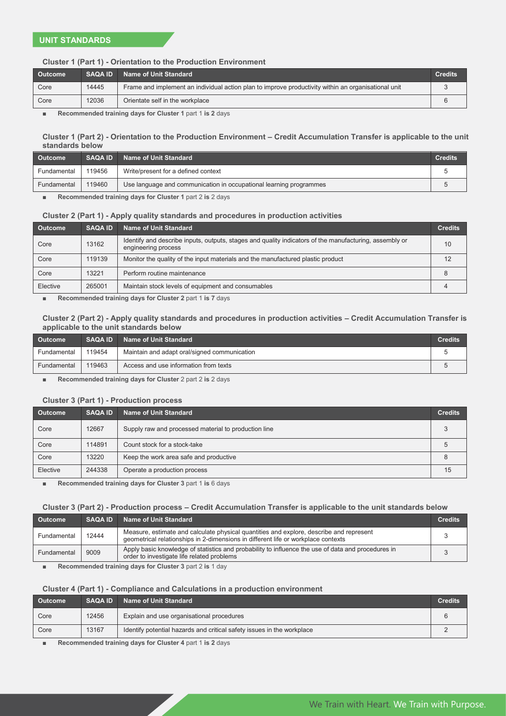## **Cluster 1 (Part 1) - Orientation to the Production Environment**

| Outcome | <b>SAQA ID</b> | Name of Unit Standard                                                                               | <b>Credits</b> |
|---------|----------------|-----------------------------------------------------------------------------------------------------|----------------|
| Core    | 14445          | Frame and implement an individual action plan to improve productivity within an organisational unit |                |
| Core    | 12036          | Orientate self in the workplace                                                                     |                |
|         |                |                                                                                                     |                |

**Recommended training days for Cluster 1 part 1 is 2 days** 

### **Cluster 1 (Part 2) - Orientation to the Production Environment – Credit Accumulation Transfer is applicable to the unit standards below**

| <b>Outcome</b> | <b>SAQA ID</b> | Name of Unit Standard                                              | <b>Credits</b> |
|----------------|----------------|--------------------------------------------------------------------|----------------|
| Fundamental    | 119456         | Write/present for a defined context                                |                |
| Fundamental    | 119460         | Use language and communication in occupational learning programmes |                |

■ **Recommended training days for Cluster 1** part 2 **is** 2 days

## **Cluster 2 (Part 1) - Apply quality standards and procedures in production activities**

| <b>Outcome</b> | <b>SAQA ID</b> | <b>Name of Unit Standard</b>                                                                                                  | <b>Credits</b> |
|----------------|----------------|-------------------------------------------------------------------------------------------------------------------------------|----------------|
| Core           | 13162          | Identify and describe inputs, outputs, stages and quality indicators of the manufacturing, assembly or<br>engineering process | 10             |
| Core           | 119139         | Monitor the quality of the input materials and the manufactured plastic product                                               |                |
| Core           | 13221          | Perform routine maintenance                                                                                                   |                |
| Elective       | 265001         | Maintain stock levels of equipment and consumables                                                                            |                |

■ **Recommended training days for Cluster 2 part 1 is 7 days** 

#### **Cluster 2 (Part 2) - Apply quality standards and procedures in production activities – Credit Accumulation Transfer is applicable to the unit standards below**

| <b>Outcome</b> | <b>SAQA ID</b> | Name of Unit Standard                        | <b>Credits</b> |
|----------------|----------------|----------------------------------------------|----------------|
| Fundamental    | 119454         | Maintain and adapt oral/signed communication |                |
| Fundamental    | 119463         | Access and use information from texts        |                |

■ **Recommended training days for Cluster** 2 part 2 is 2 days

### **Cluster 3 (Part 1) - Production process**

| <b>Outcome</b> | <b>SAQA ID</b> | <b>Name of Unit Standard</b>                         | <b>Credits</b> |
|----------------|----------------|------------------------------------------------------|----------------|
| Core           | 12667          | Supply raw and processed material to production line |                |
| Core           | 114891         | Count stock for a stock-take                         |                |
| Core           | 13220          | Keep the work area safe and productive               |                |
| Elective       | 244338         | Operate a production process                         | 15             |

■ **Recommended training days for Cluster 3** part 1 **is** 6 days

#### **Cluster 3 (Part 2) - Production process – Credit Accumulation Transfer is applicable to the unit standards below**

| <b>Outcome</b> | <b>SAQA ID</b> | Name of Unit Standard                                                                                                                                                        | <b>Credits</b> |
|----------------|----------------|------------------------------------------------------------------------------------------------------------------------------------------------------------------------------|----------------|
| Fundamental    | 12444          | Measure, estimate and calculate physical quantities and explore, describe and represent<br>geometrical relationships in 2-dimensions in different life or workplace contexts |                |
| Fundamental    | 9009           | Apply basic knowledge of statistics and probability to influence the use of data and procedures in<br>order to investigate life related problems                             |                |
|                |                |                                                                                                                                                                              |                |

■ **Recommended training days for Cluster 3** part 2 **is** 1 day

#### **Cluster 4 (Part 1) - Compliance and Calculations in a production environment**

| <b>Outcome</b> | <b>SAQA ID</b> | Name of Unit Standard                                                  | <b>Credits</b> |
|----------------|----------------|------------------------------------------------------------------------|----------------|
| Core           | 12456          | Explain and use organisational procedures                              |                |
| Core           | 13167          | Identify potential hazards and critical safety issues in the workplace |                |

■ **Recommended training days for Cluster 4** part 1 **is 2** days